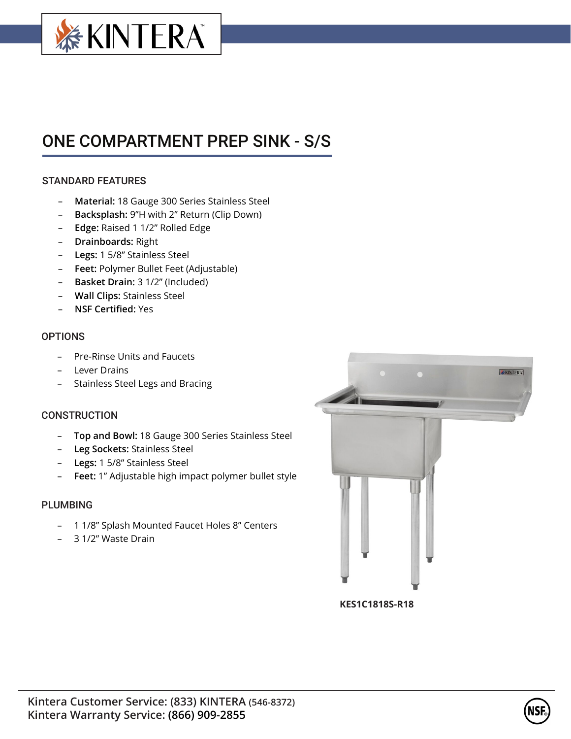

# ONE COMPARTMENT PREP SINK - S/S

## STANDARD FEATURES

- **Material:** 18 Gauge 300 Series Stainless Steel
- **Backsplash:** 9"H with 2" Return (Clip Down)
- **Edge:** Raised 1 1/2" Rolled Edge
- **Drainboards:** Right
- **Legs:** 1 5/8" Stainless Steel
- **Feet:** Polymer Bullet Feet (Adjustable)
- **Basket Drain:** 3 1/2" (Included)
- **Wall Clips:** Stainless Steel
- **NSF Certified:** Yes

### **OPTIONS**

- Pre-Rinse Units and Faucets
- Lever Drains
- Stainless Steel Legs and Bracing

### **CONSTRUCTION**

- **Top and Bowl:** 18 Gauge 300 Series Stainless Steel
- **Leg Sockets:** Stainless Steel
- **Legs:** 1 5/8" Stainless Steel
- **Feet:** 1" Adjustable high impact polymer bullet style

### PLUMBING

- 1 1/8" Splash Mounted Faucet Holes 8" Centers
- 3 1/2" Waste Drain